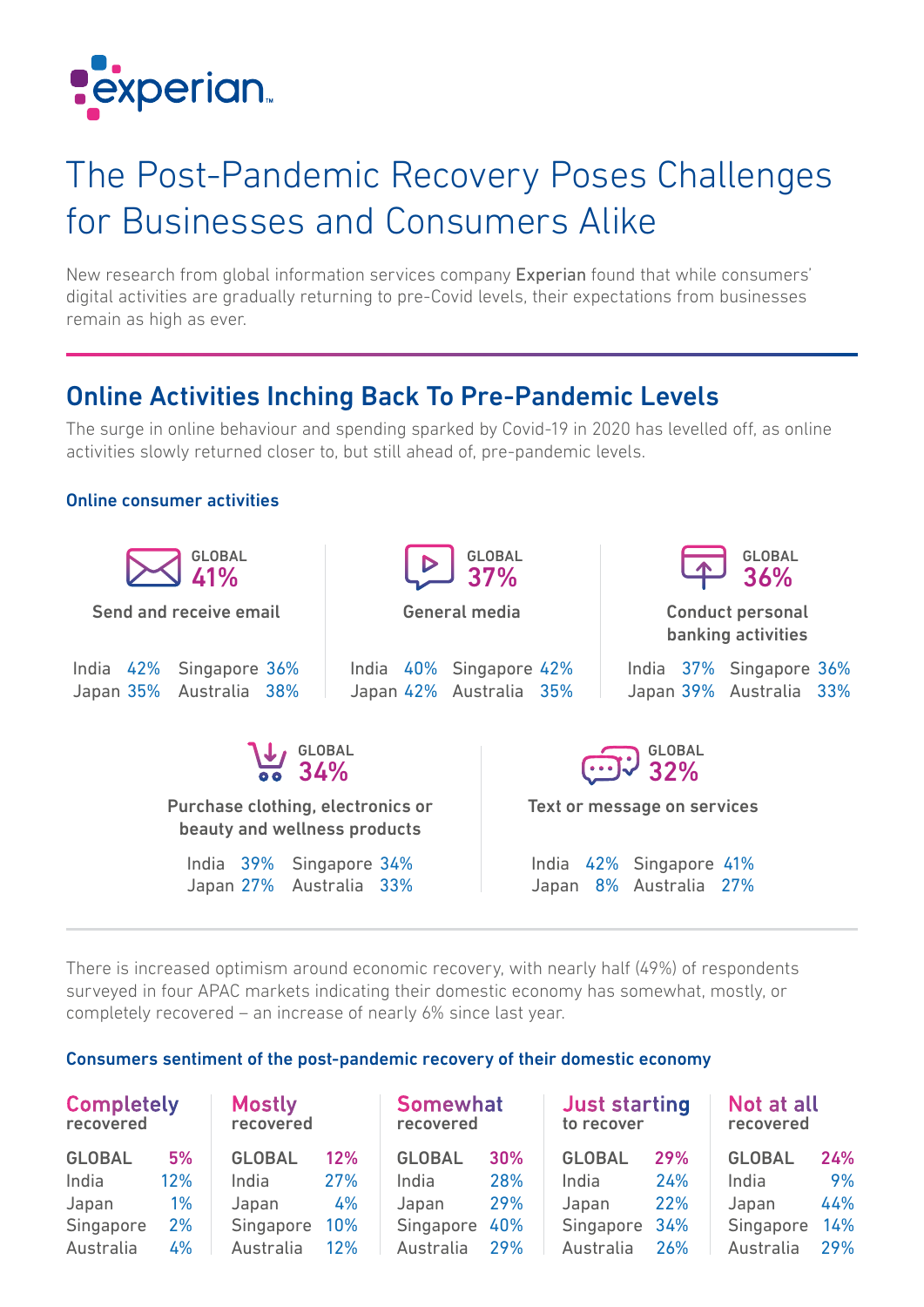

## The Post-Pandemic Recovery Poses Challenges for Businesses and Consumers Alike

New research from global information services company Experian found that while consumers' digital activities are gradually returning to pre-Covid levels, their expectations from businesses remain as high as ever.

## Online Activities Inching Back To Pre-Pandemic Levels

The surge in online behaviour and spending sparked by Covid-19 in 2020 has levelled off, as online activities slowly returned closer to, but still ahead of, pre-pandemic levels.

## Online consumer activities



There is increased optimism around economic recovery, with nearly half (49%) of respondents surveyed in four APAC markets indicating their domestic economy has somewhat, mostly, or completely recovered – an increase of nearly 6% since last year.

### Consumers sentiment of the post-pandemic recovery of their domestic economy

| <b>Completely</b><br>recovered |       | <b>Mostly</b><br>recovered |     | <b>Somewhat</b><br>recovered |            | <b>Just starting</b><br>to recover |     | Not at all<br>recovered |     |
|--------------------------------|-------|----------------------------|-----|------------------------------|------------|------------------------------------|-----|-------------------------|-----|
| <b>GLOBAL</b>                  | 5%    | <b>GLOBAL</b>              | 12% | <b>GLOBAL</b>                | <b>30%</b> | <b>GLOBAL</b>                      | 29% | <b>GLOBAL</b>           | 24% |
| India                          | 12%   | India                      | 27% | India                        | 28%        | India                              | 24% | India                   | 9%  |
| Japan                          | $1\%$ | Japan                      | 4%  | Japan                        | 29%        | Japan                              | 22% | Japan                   | 44% |
| Singapore                      | 2%    | Singapore                  | 10% | Singapore                    | 40%        | Singapore 34%                      |     | Singapore               | 14% |
| Australia                      | 4%    | Australia                  | 12% | Australia                    | 29%        | Australia                          | 26% | Australia               | 29% |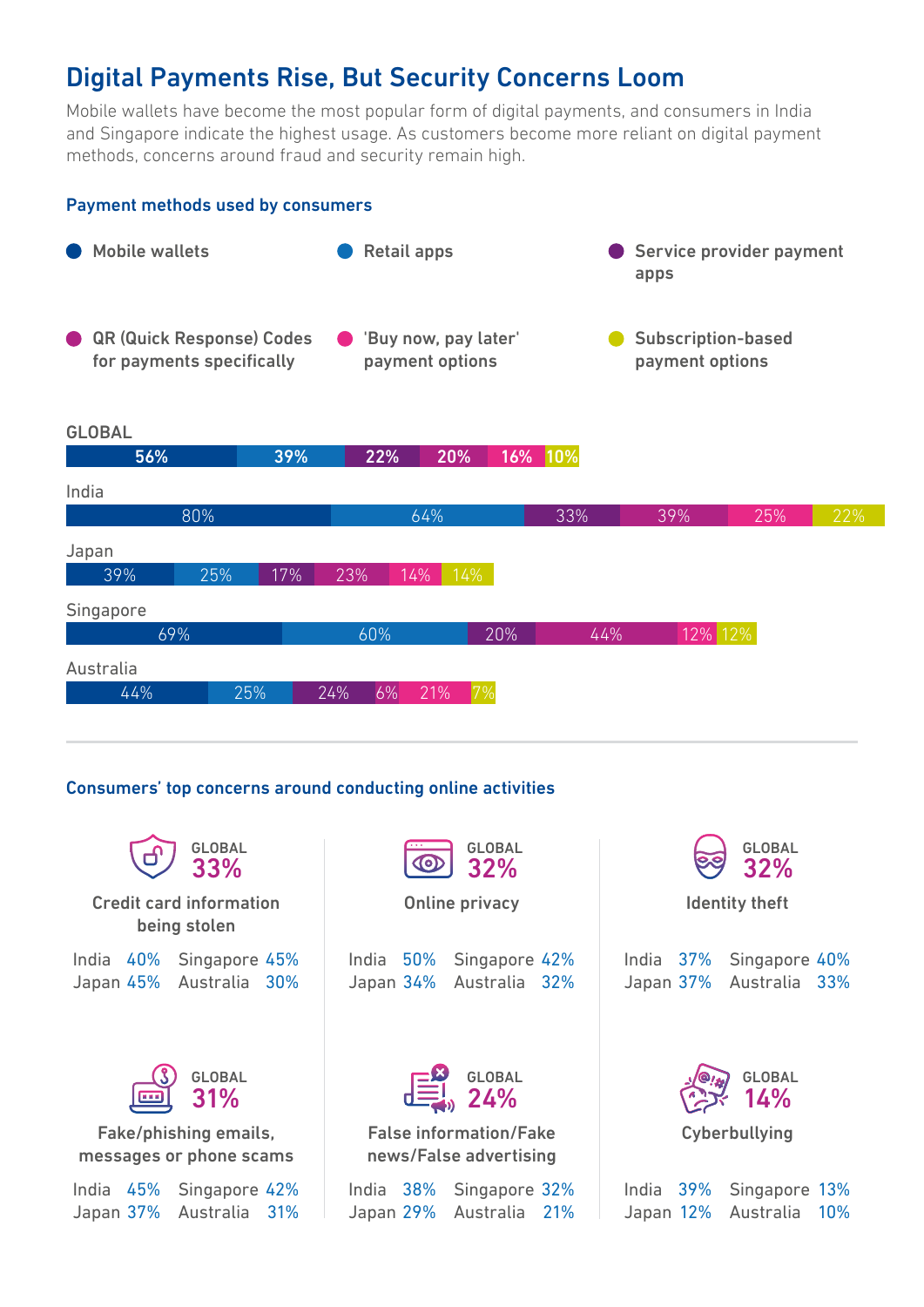## Digital Payments Rise, But Security Concerns Loom

Mobile wallets have become the most popular form of digital payments, and consumers in India and Singapore indicate the highest usage. As customers become more reliant on digital payment methods, concerns around fraud and security remain high.



#### Consumers' top concerns around conducting online activities

| <b>GLOBAL</b><br>33%                                                  | <b>GLOBAL</b><br>CO<br><b>32%</b>                                  | <b>GLOBAL</b><br>32%                                              |
|-----------------------------------------------------------------------|--------------------------------------------------------------------|-------------------------------------------------------------------|
| <b>Credit card information</b><br>being stolen                        | <b>Online privacy</b>                                              | <b>Identity theft</b>                                             |
| India 40%<br>Singapore 45%<br>Australia 30%<br>Japan 45%              | 50%<br>Singapore 42%<br>India<br>Japan 34%<br>Australia 32%        | India 37%<br>Singapore 40%<br>Japan 37%<br>Australia 33%          |
| <b>GLOBAL</b><br>31%<br><b>REE</b>                                    | $E_{\text{min}}^{\text{S}}$ GLOBAL                                 | <b>GLOBAL</b><br>14%                                              |
| Fake/phishing emails,<br>messages or phone scams                      | <b>False information/Fake</b><br>news/False advertising            | Cyberbullying                                                     |
| 45%<br>Singapore 42%<br>India<br>Japan 37%<br>Australia<br><b>31%</b> | India 38%<br>Singapore 32%<br>Japan 29%<br>Australia<br><b>21%</b> | 39%<br>Singapore<br>13%<br>India<br>Japan 12%<br>10%<br>Australia |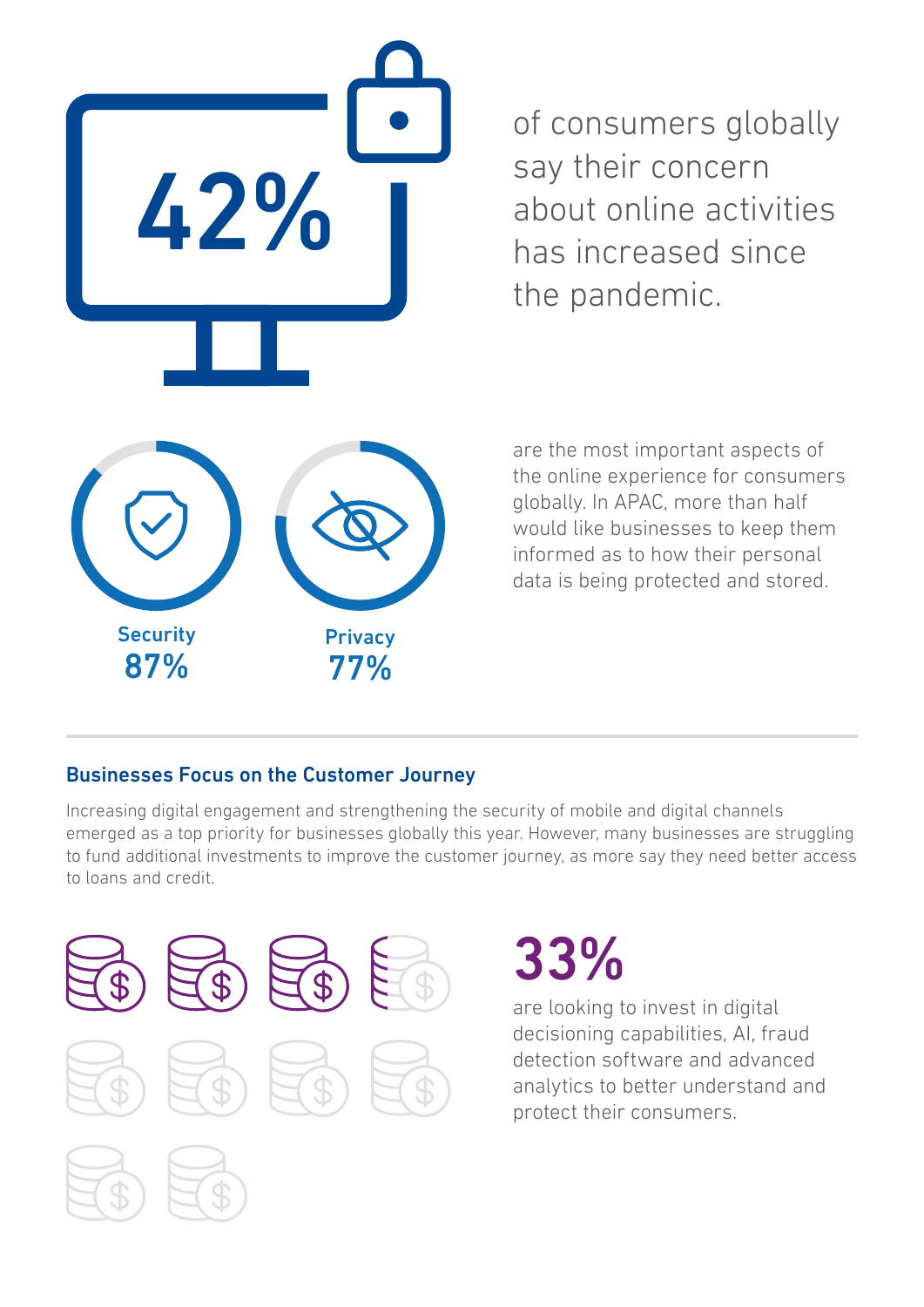

of consumers globally say their concern about online activities has increased since the pandemic.

are the most important aspects of the online experience for consumers globally. In APAC, more than half would like businesses to keep them informed as to how their personal data is being protected and stored.

## Businesses Focus on the Customer Journey

Increasing digital engagement and strengthening the security of mobile and digital channels emerged as a top priority for businesses globally this year. However, many businesses are struggling to fund additional investments to improve the customer journey, as more say they need better access to loans and credit.



# 33%

are looking to invest in digital decisioning capabilities, AI, fraud detection software and advanced analytics to better understand and protect their consumers.